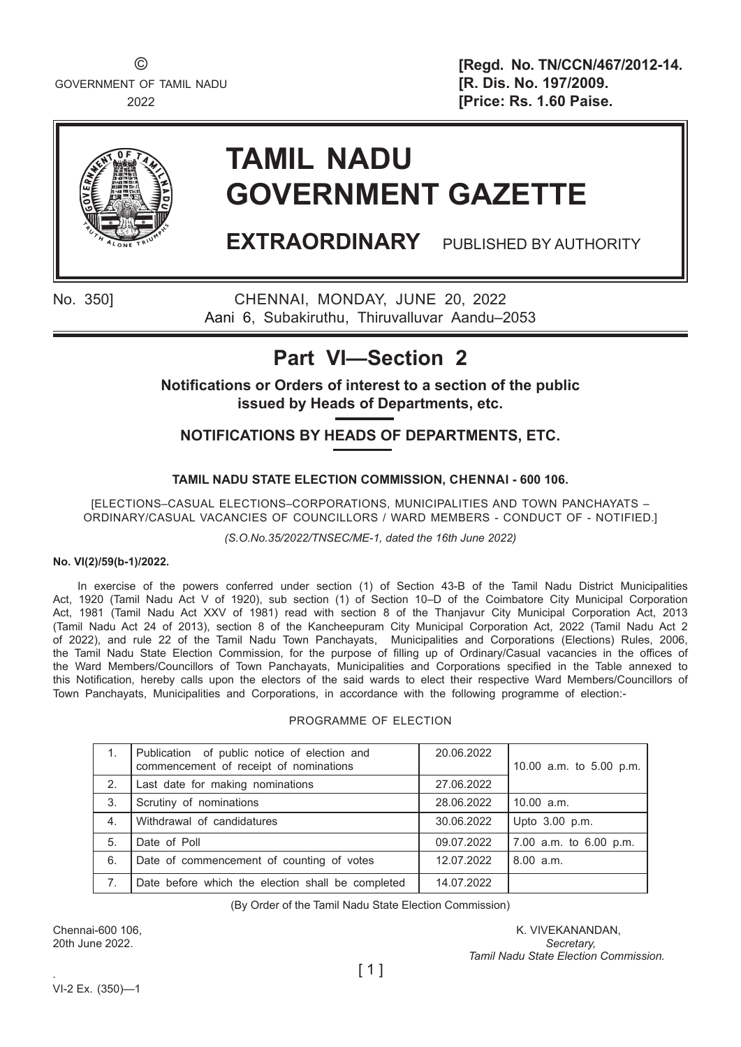GOVERNMENT OF TAMIL NADU **EXECUTE: [R. Dis. No. 197/2009.** 

© **[Regd. No. TN/CCN/467/2012-14.** 2022 **[Price: Rs. 1.60 Paise.**



# **TAMIL NADU GOVERNMENT GAZETTE**

**EXTRAORDINARY** PUBLISHED BY AUTHORITY

No. 350] CHENNAI, MONDAY, JUNE 20, 2022 Aani 6, Subakiruthu, Thiruvalluvar Aandu–2053

# **Part VI—Section 2**

**Notifications or Orders of interest to a section of the public issued by Heads of Departments, etc.**

**NOTIFICATIONS BY HEADS OF DEPARTMENTS, ETC.**

# **TAMIL NADU STATE ELECTION COMMISSION, CHENNAI - 600 106.**

[ELECTIONS–CASUAL ELECTIONS–CORPORATIONS, MUNICIPALITIES AND TOWN PANCHAYATS – ORDINARY/CASUAL VACANCIES OF COUNCILLORS / WARD MEMBERS - CONDUCT OF - NOTIFIED.]

*(S.O.No.35/2022/TNSEC/ME-1, dated the 16th June 2022)*

# **No. VI(2)/59(b-1)/2022.**

In exercise of the powers conferred under section (1) of Section 43-B of the Tamil Nadu District Municipalities Act, 1920 (Tamil Nadu Act V of 1920), sub section (1) of Section 10–D of the Coimbatore City Municipal Corporation Act, 1981 (Tamil Nadu Act XXV of 1981) read with section 8 of the Thanjavur City Municipal Corporation Act, 2013 (Tamil Nadu Act 24 of 2013), section 8 of the Kancheepuram City Municipal Corporation Act, 2022 (Tamil Nadu Act 2 of 2022), and rule 22 of the Tamil Nadu Town Panchayats, Municipalities and Corporations (Elections) Rules, 2006, the Tamil Nadu State Election Commission, for the purpose of filling up of Ordinary/Casual vacancies in the offices of the Ward Members/Councillors of Town Panchayats, Municipalities and Corporations specified in the Table annexed to this Notification, hereby calls upon the electors of the said wards to elect their respective Ward Members/Councillors of Town Panchayats, Municipalities and Corporations, in accordance with the following programme of election:-

# PROGRAMME OF ELECTION

| 1.             | Publication of public notice of election and<br>commencement of receipt of nominations | 20.06.2022 | 10.00 a.m. to 5.00 p.m. |
|----------------|----------------------------------------------------------------------------------------|------------|-------------------------|
| 2.             | Last date for making nominations                                                       | 27.06.2022 |                         |
| 3.             | Scrutiny of nominations                                                                | 28.06.2022 | $10.00$ a.m.            |
| $\mathbf{4}$ . | Withdrawal of candidatures                                                             | 30.06.2022 | Upto 3.00 p.m.          |
| 5.             | Date of Poll                                                                           | 09.07.2022 | 7.00 a.m. to 6.00 p.m.  |
| 6.             | Date of commencement of counting of votes                                              | 12.07.2022 | 8.00 a.m.               |
| 7.             | Date before which the election shall be completed                                      | 14.07.2022 |                         |

(By Order of the Tamil Nadu State Election Commission)

Chennai-600 106, K. VIVEKANANDAN, K. VIVEKANANDAN, K. VIVEKANANDAN, K. VIVEKANANDAN, 20th June 2022. *Secretary, Tamil Nadu State Election Commission.*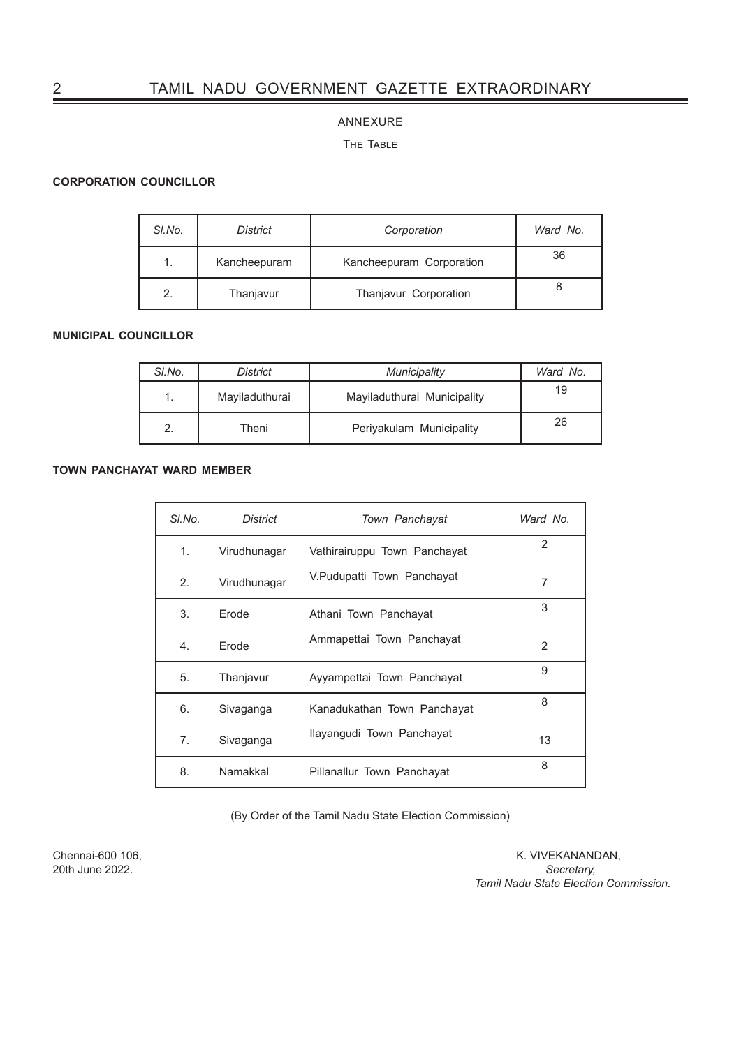# 2 TAMIL NADU GOVERNMENT GAZETTE EXTRAORDINARY

### ANNEXURE

### The Table

## **CORPORATION COUNCILLOR**

| SI.No. | <b>District</b> | Corporation              | Ward No. |
|--------|-----------------|--------------------------|----------|
|        | Kancheepuram    | Kancheepuram Corporation | 36       |
| 2.     | Thanjavur       | Thanjavur Corporation    |          |

# **MUNICIPAL COUNCILLOR**

| SI.No. | <b>District</b> | <b>Municipality</b>         | Ward No. |
|--------|-----------------|-----------------------------|----------|
|        | Mayiladuthurai  | Mayiladuthurai Municipality | 19       |
|        | Theni           | Periyakulam Municipality    | 26       |

# **TOWN PANCHAYAT WARD MEMBER**

| SI.No. | <b>District</b> | Town Panchayat               | Ward No. |
|--------|-----------------|------------------------------|----------|
| 1.     | Virudhunagar    | Vathirairuppu Town Panchayat | 2        |
| 2.     | Virudhunagar    | V.Pudupatti Town Panchayat   | 7        |
| 3.     | Erode           | Athani Town Panchayat        | 3        |
| 4.     | Erode           | Ammapettai Town Panchayat    | 2        |
| 5.     | Thanjavur       | Ayyampettai Town Panchayat   | 9        |
| 6.     | Sivaganga       | Kanadukathan Town Panchayat  | 8        |
| 7.     | Sivaganga       | Ilayangudi Town Panchayat    | 13       |
| 8.     | Namakkal        | Pillanallur Town Panchayat   | 8        |

(By Order of the Tamil Nadu State Election Commission)

20th June 2022.

Chennai-600 106, K. VIVEKANANDAN, 20th June 2022.  *Tamil Nadu State Election Commission.*